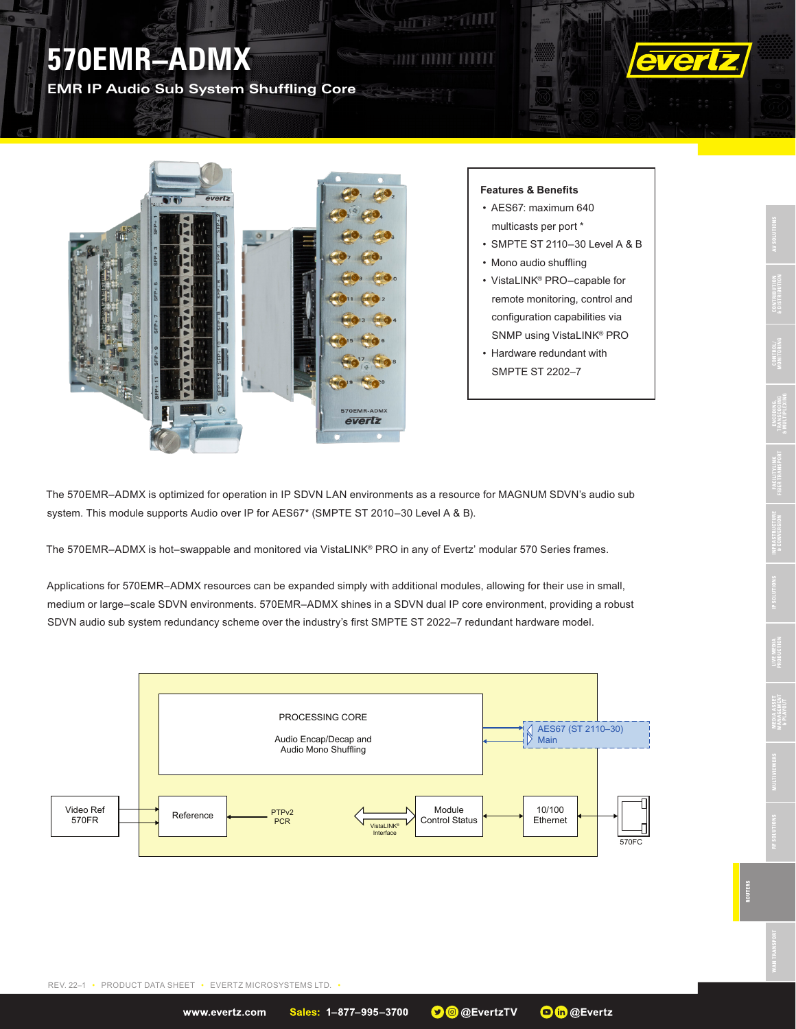## **570EMR–ADMX**

**EMR IP Audio Sub System Shuffling Core**





## **Features & Benefits**

**ALLES PERIODI** 

**FERNALD MAIL** 

- AES67: maximum 640 multicasts per port \*
- SMPTE ST 2110–30 Level A & B
- Mono audio shuffling
- VistaLINK® PRO–capable for remote monitoring, control and configuration capabilities via SNMP using VistaLINK® PRO
- Hardware redundant with SMPTE ST 2202–7

The 570EMR–ADMX is optimized for operation in IP SDVN LAN environments as a resource for MAGNUM SDVN's audio sub system. This module supports Audio over IP for AES67\* (SMPTE ST 2010–30 Level A & B).

The 570EMR–ADMX is hot–swappable and monitored via VistaLINK® PRO in any of Evertz' modular 570 Series frames.

Applications for 570EMR–ADMX resources can be expanded simply with additional modules, allowing for their use in small, medium or large–scale SDVN environments. 570EMR–ADMX shines in a SDVN dual IP core environment, providing a robust SDVN audio sub system redundancy scheme over the industry's first SMPTE ST 2022–7 redundant hardware model.